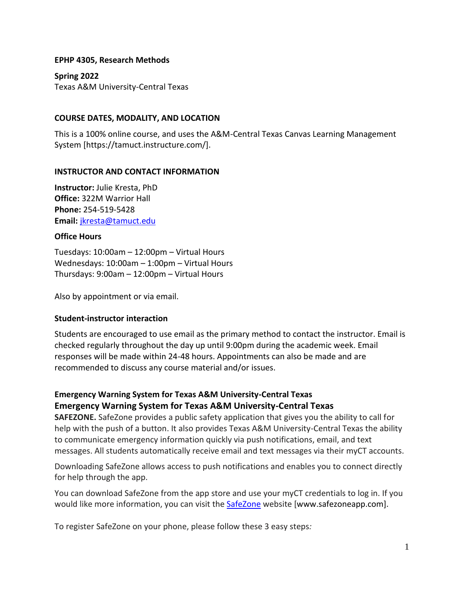#### **EPHP 4305, Research Methods**

**Spring 2022** Texas A&M University-Central Texas

#### **COURSE DATES, MODALITY, AND LOCATION**

This is a 100% online course, and uses the A&M-Central Texas Canvas Learning Management System [https://tamuct.instructure.com/].

#### **INSTRUCTOR AND CONTACT INFORMATION**

**Instructor:** Julie Kresta, PhD **Office:** 322M Warrior Hall **Phone:** 254-519-5428 **Email:** [jkresta@tamuct.edu](mailto:jkresta@tamuct.edu)

#### **Office Hours**

Tuesdays: 10:00am – 12:00pm – Virtual Hours Wednesdays: 10:00am – 1:00pm – Virtual Hours Thursdays: 9:00am – 12:00pm – Virtual Hours

Also by appointment or via email.

# **Student-instructor interaction**

Students are encouraged to use email as the primary method to contact the instructor. Email is checked regularly throughout the day up until 9:00pm during the academic week. Email responses will be made within 24-48 hours. Appointments can also be made and are recommended to discuss any course material and/or issues.

# **Emergency Warning System for Texas A&M University-Central Texas Emergency Warning System for Texas A&M University-Central Texas**

**SAFEZONE.** SafeZone provides a public safety application that gives you the ability to call for help with the push of a button. It also provides Texas A&M University-Central Texas the ability to communicate emergency information quickly via push notifications, email, and text messages. All students automatically receive email and text messages via their myCT accounts.

Downloading SafeZone allows access to push notifications and enables you to connect directly for help through the app.

You can download SafeZone from the app store and use your myCT credentials to log in. If you would like more information, you can visit the [SafeZone](http://www.safezoneapp.com/) website [www.safezoneapp.com].

To register SafeZone on your phone, please follow these 3 easy steps*:*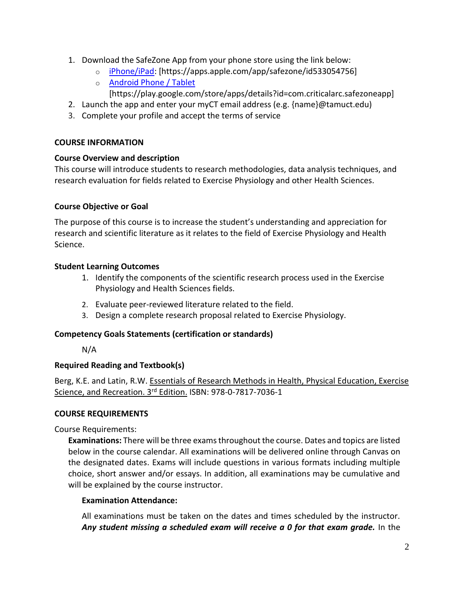- 1. Download the SafeZone App from your phone store using the link below:
	- o [iPhone/iPad:](https://apps.apple.com/app/safezone/id533054756) [https://apps.apple.com/app/safezone/id533054756]
	- o [Android Phone / Tablet](https://play.google.com/store/apps/details?id=com.criticalarc.safezoneapp) [https://play.google.com/store/apps/details?id=com.criticalarc.safezoneapp]
- 2. Launch the app and enter your myCT email address (e.g. {name}@tamuct.edu)
- 3. Complete your profile and accept the terms of service

### **COURSE INFORMATION**

# **Course Overview and description**

This course will introduce students to research methodologies, data analysis techniques, and research evaluation for fields related to Exercise Physiology and other Health Sciences.

# **Course Objective or Goal**

The purpose of this course is to increase the student's understanding and appreciation for research and scientific literature as it relates to the field of Exercise Physiology and Health Science.

### **Student Learning Outcomes**

- 1. Identify the components of the scientific research process used in the Exercise Physiology and Health Sciences fields.
- 2. Evaluate peer-reviewed literature related to the field.
- 3. Design a complete research proposal related to Exercise Physiology.

# **Competency Goals Statements (certification or standards)**

N/A

# **Required Reading and Textbook(s)**

Berg, K.E. and Latin, R.W. Essentials of Research Methods in Health, Physical Education, Exercise Science, and Recreation. 3rd Edition. ISBN: 978-0-7817-7036-1

# **COURSE REQUIREMENTS**

Course Requirements:

**Examinations:** There will be three exams throughout the course. Dates and topics are listed below in the course calendar. All examinations will be delivered online through Canvas on the designated dates. Exams will include questions in various formats including multiple choice, short answer and/or essays. In addition, all examinations may be cumulative and will be explained by the course instructor.

# **Examination Attendance:**

All examinations must be taken on the dates and times scheduled by the instructor. *Any student missing a scheduled exam will receive a 0 for that exam grade.* In the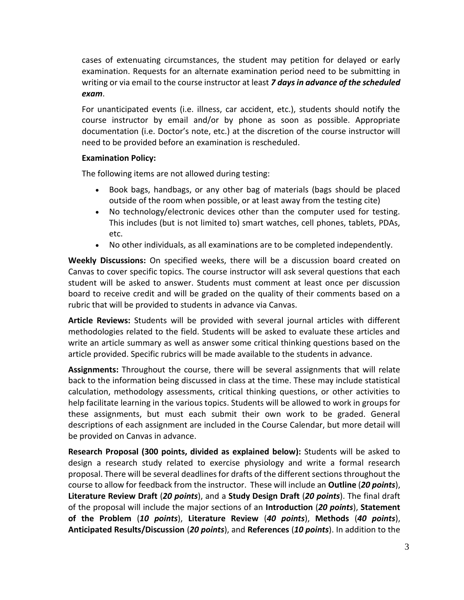cases of extenuating circumstances, the student may petition for delayed or early examination. Requests for an alternate examination period need to be submitting in writing or via email to the course instructor at least *7 days in advance of the scheduled exam*.

For unanticipated events (i.e. illness, car accident, etc.), students should notify the course instructor by email and/or by phone as soon as possible. Appropriate documentation (i.e. Doctor's note, etc.) at the discretion of the course instructor will need to be provided before an examination is rescheduled.

# **Examination Policy:**

The following items are not allowed during testing:

- Book bags, handbags, or any other bag of materials (bags should be placed outside of the room when possible, or at least away from the testing cite)
- No technology/electronic devices other than the computer used for testing. This includes (but is not limited to) smart watches, cell phones, tablets, PDAs, etc.
- No other individuals, as all examinations are to be completed independently.

**Weekly Discussions:** On specified weeks, there will be a discussion board created on Canvas to cover specific topics. The course instructor will ask several questions that each student will be asked to answer. Students must comment at least once per discussion board to receive credit and will be graded on the quality of their comments based on a rubric that will be provided to students in advance via Canvas.

**Article Reviews:** Students will be provided with several journal articles with different methodologies related to the field. Students will be asked to evaluate these articles and write an article summary as well as answer some critical thinking questions based on the article provided. Specific rubrics will be made available to the students in advance.

**Assignments:** Throughout the course, there will be several assignments that will relate back to the information being discussed in class at the time. These may include statistical calculation, methodology assessments, critical thinking questions, or other activities to help facilitate learning in the various topics. Students will be allowed to work in groups for these assignments, but must each submit their own work to be graded. General descriptions of each assignment are included in the Course Calendar, but more detail will be provided on Canvas in advance.

**Research Proposal (300 points, divided as explained below):** Students will be asked to design a research study related to exercise physiology and write a formal research proposal. There will be several deadlines for drafts of the different sections throughout the course to allow for feedback from the instructor. These will include an **Outline** (*20 points*), **Literature Review Draft** (*20 points*), and a **Study Design Draft** (*20 points*). The final draft of the proposal will include the major sections of an **Introduction** (*20 points*), **Statement of the Problem** (*10 points*), **Literature Review** (*40 points*), **Methods** (*40 points*), **Anticipated Results/Discussion** (*20 points*), and **References** (*10 points*). In addition to the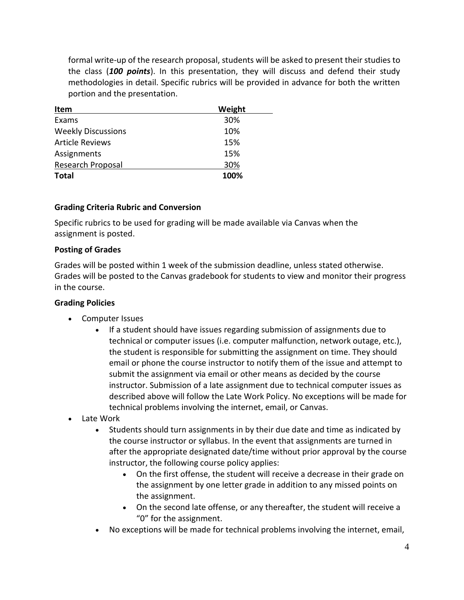formal write-up of the research proposal, students will be asked to present their studies to the class (*100 points*). In this presentation, they will discuss and defend their study methodologies in detail. Specific rubrics will be provided in advance for both the written portion and the presentation.

| Item                      | Weight |
|---------------------------|--------|
| Exams                     | 30%    |
| <b>Weekly Discussions</b> | 10%    |
| <b>Article Reviews</b>    | 15%    |
| Assignments               | 15%    |
| Research Proposal         | 30%    |
| <b>Total</b>              | 100%   |

### **Grading Criteria Rubric and Conversion**

Specific rubrics to be used for grading will be made available via Canvas when the assignment is posted.

#### **Posting of Grades**

Grades will be posted within 1 week of the submission deadline, unless stated otherwise. Grades will be posted to the Canvas gradebook for students to view and monitor their progress in the course.

#### **Grading Policies**

- Computer Issues
	- If a student should have issues regarding submission of assignments due to technical or computer issues (i.e. computer malfunction, network outage, etc.), the student is responsible for submitting the assignment on time. They should email or phone the course instructor to notify them of the issue and attempt to submit the assignment via email or other means as decided by the course instructor. Submission of a late assignment due to technical computer issues as described above will follow the Late Work Policy. No exceptions will be made for technical problems involving the internet, email, or Canvas.
- Late Work
	- Students should turn assignments in by their due date and time as indicated by the course instructor or syllabus. In the event that assignments are turned in after the appropriate designated date/time without prior approval by the course instructor, the following course policy applies:
		- On the first offense, the student will receive a decrease in their grade on the assignment by one letter grade in addition to any missed points on the assignment.
		- On the second late offense, or any thereafter, the student will receive a "0" for the assignment.
	- No exceptions will be made for technical problems involving the internet, email,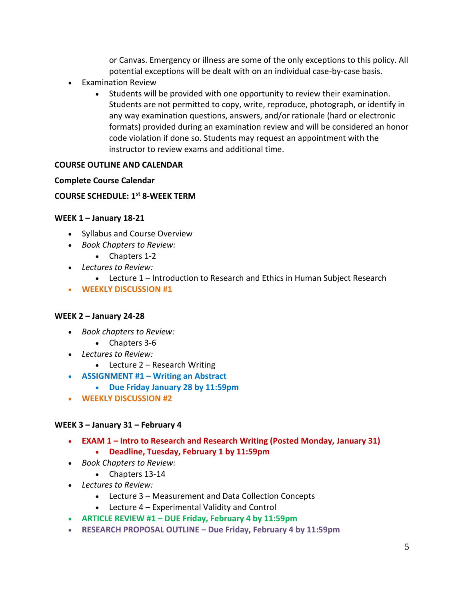or Canvas. Emergency or illness are some of the only exceptions to this policy. All potential exceptions will be dealt with on an individual case-by-case basis.

- Examination Review
	- Students will be provided with one opportunity to review their examination. Students are not permitted to copy, write, reproduce, photograph, or identify in any way examination questions, answers, and/or rationale (hard or electronic formats) provided during an examination review and will be considered an honor code violation if done so. Students may request an appointment with the instructor to review exams and additional time.

# **COURSE OUTLINE AND CALENDAR**

#### **Complete Course Calendar**

# **COURSE SCHEDULE: 1st 8-WEEK TERM**

#### **WEEK 1 – January 18-21**

- Syllabus and Course Overview
- *Book Chapters to Review:*
	- Chapters 1-2
- *Lectures to Review:*
	- Lecture 1 Introduction to Research and Ethics in Human Subject Research
- **WEEKLY DISCUSSION #1**

#### **WEEK 2 – January 24-28**

- *Book chapters to Review:*
	- Chapters 3-6
- *Lectures to Review:*
	- Lecture 2 Research Writing
- **ASSIGNMENT #1 – Writing an Abstract** 
	- **Due Friday January 28 by 11:59pm**
- **WEEKLY DISCUSSION #2**

#### **WEEK 3 – January 31 – February 4**

- **EXAM 1 – Intro to Research and Research Writing (Posted Monday, January 31)**
	- **Deadline, Tuesday, February 1 by 11:59pm**
- *Book Chapters to Review:*
	- Chapters 13-14
- *Lectures to Review:*
	- Lecture 3 Measurement and Data Collection Concepts
	- Lecture 4 Experimental Validity and Control
- **ARTICLE REVIEW #1 – DUE Friday, February 4 by 11:59pm**
- **RESEARCH PROPOSAL OUTLINE – Due Friday, February 4 by 11:59pm**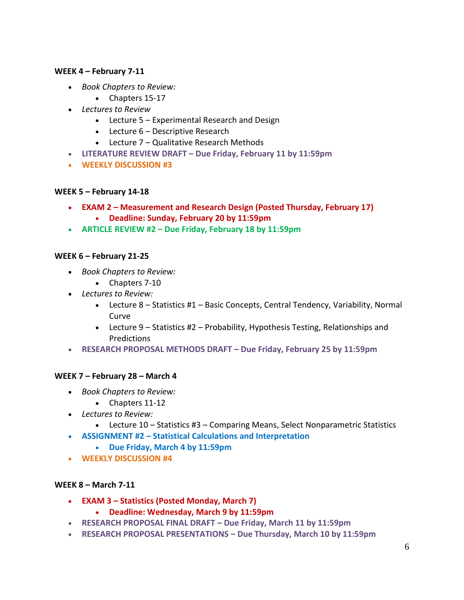#### **WEEK 4 – February 7-11**

- *Book Chapters to Review:*
	- Chapters 15-17
- *Lectures to Review*
	- Lecture 5 Experimental Research and Design
	- Lecture 6 Descriptive Research
	- Lecture 7 Qualitative Research Methods
- **LITERATURE REVIEW DRAFT – Due Friday, February 11 by 11:59pm**
- **WEEKLY DISCUSSION #3**

#### **WEEK 5 – February 14-18**

- **EXAM 2 – Measurement and Research Design (Posted Thursday, February 17)**
	- **Deadline: Sunday, February 20 by 11:59pm**
- **ARTICLE REVIEW #2 – Due Friday, February 18 by 11:59pm**

#### **WEEK 6 – February 21-25**

- *Book Chapters to Review:*
	- Chapters 7-10
- *Lectures to Review:*
	- Lecture 8 Statistics #1 Basic Concepts, Central Tendency, Variability, Normal Curve
	- Lecture 9 Statistics #2 Probability, Hypothesis Testing, Relationships and **Predictions**
- **RESEARCH PROPOSAL METHODS DRAFT – Due Friday, February 25 by 11:59pm**

#### **WEEK 7 – February 28 – March 4**

- *Book Chapters to Review:* 
	- Chapters 11-12
- *Lectures to Review:*
	- Lecture 10 Statistics #3 Comparing Means, Select Nonparametric Statistics
- **ASSIGNMENT #2 – Statistical Calculations and Interpretation**
	- **Due Friday, March 4 by 11:59pm**
- **WEEKLY DISCUSSION #4**

#### **WEEK 8 – March 7-11**

- **EXAM 3 – Statistics (Posted Monday, March 7)**
	- **Deadline: Wednesday, March 9 by 11:59pm**
- **RESEARCH PROPOSAL FINAL DRAFT – Due Friday, March 11 by 11:59pm**
- **RESEARCH PROPOSAL PRESENTATIONS – Due Thursday, March 10 by 11:59pm**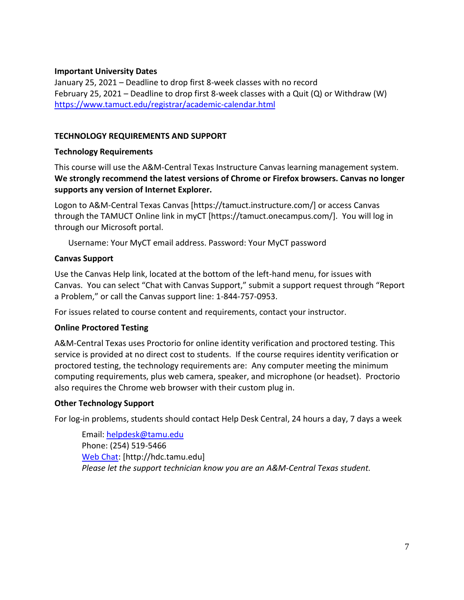#### **Important University Dates**

January 25, 2021 – Deadline to drop first 8-week classes with no record February 25, 2021 – Deadline to drop first 8-week classes with a Quit (Q) or Withdraw (W) <https://www.tamuct.edu/registrar/academic-calendar.html>

### **TECHNOLOGY REQUIREMENTS AND SUPPORT**

### **Technology Requirements**

This course will use the A&M-Central Texas Instructure Canvas learning management system. **We strongly recommend the latest versions of Chrome or Firefox browsers. Canvas no longer supports any version of Internet Explorer.**

Logon to A&M-Central Texas Canvas [https://tamuct.instructure.com/] or access Canvas through the TAMUCT Online link in myCT [https://tamuct.onecampus.com/]. You will log in through our Microsoft portal.

Username: Your MyCT email address. Password: Your MyCT password

# **Canvas Support**

Use the Canvas Help link, located at the bottom of the left-hand menu, for issues with Canvas. You can select "Chat with Canvas Support," submit a support request through "Report a Problem," or call the Canvas support line: 1-844-757-0953.

For issues related to course content and requirements, contact your instructor.

# **Online Proctored Testing**

A&M-Central Texas uses Proctorio for online identity verification and proctored testing. This service is provided at no direct cost to students. If the course requires identity verification or proctored testing, the technology requirements are: Any computer meeting the minimum computing requirements, plus web camera, speaker, and microphone (or headset). Proctorio also requires the Chrome web browser with their custom plug in.

#### **Other Technology Support**

For log-in problems, students should contact Help Desk Central, 24 hours a day, 7 days a week

Email: [helpdesk@tamu.edu](mailto:helpdesk@tamu.edu) Phone: (254) 519-5466 [Web Chat:](http://hdc.tamu.edu/) [http://hdc.tamu.edu] *Please let the support technician know you are an A&M-Central Texas student.*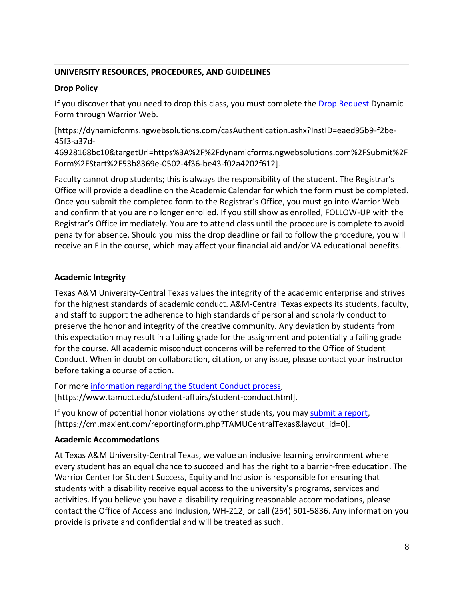### **UNIVERSITY RESOURCES, PROCEDURES, AND GUIDELINES**

#### **Drop Policy**

If you discover that you need to drop this class, you must complete the [Drop Request](https://dynamicforms.ngwebsolutions.com/casAuthentication.ashx?InstID=eaed95b9-f2be-45f3-a37d-46928168bc10&targetUrl=https%3A%2F%2Fdynamicforms.ngwebsolutions.com%2FSubmit%2FForm%2FStart%2F53b8369e-0502-4f36-be43-f02a4202f612) Dynamic Form through Warrior Web.

[https://dynamicforms.ngwebsolutions.com/casAuthentication.ashx?InstID=eaed95b9-f2be-45f3-a37d-

46928168bc10&targetUrl=https%3A%2F%2Fdynamicforms.ngwebsolutions.com%2FSubmit%2F Form%2FStart%2F53b8369e-0502-4f36-be43-f02a4202f612].

Faculty cannot drop students; this is always the responsibility of the student. The Registrar's Office will provide a deadline on the Academic Calendar for which the form must be completed. Once you submit the completed form to the Registrar's Office, you must go into Warrior Web and confirm that you are no longer enrolled. If you still show as enrolled, FOLLOW-UP with the Registrar's Office immediately. You are to attend class until the procedure is complete to avoid penalty for absence. Should you miss the drop deadline or fail to follow the procedure, you will receive an F in the course, which may affect your financial aid and/or VA educational benefits.

# **Academic Integrity**

Texas A&M University-Central Texas values the integrity of the academic enterprise and strives for the highest standards of academic conduct. A&M-Central Texas expects its students, faculty, and staff to support the adherence to high standards of personal and scholarly conduct to preserve the honor and integrity of the creative community. Any deviation by students from this expectation may result in a failing grade for the assignment and potentially a failing grade for the course. All academic misconduct concerns will be referred to the Office of Student Conduct. When in doubt on collaboration, citation, or any issue, please contact your instructor before taking a course of action.

For more [information](https://nam04.safelinks.protection.outlook.com/?url=https%3A%2F%2Fwww.tamuct.edu%2Fstudent-affairs%2Fstudent-conduct.html&data=04%7C01%7Clisa.bunkowski%40tamuct.edu%7Ccfb6e486f24745f53e1a08d910055cb2%7C9eed4e3000f744849ff193ad8005acec%7C0%7C0%7C637558437485252160%7CUnknown%7CTWFpbGZsb3d8eyJWIjoiMC4wLjAwMDAiLCJQIjoiV2luMzIiLCJBTiI6Ik1haWwiLCJXVCI6Mn0%3D%7C1000&sdata=yjftDEVHvLX%2FhM%2FcFU0B99krV1RgEWR%2BJ%2BhvtoR6TYk%3D&reserved=0) regarding the Student Conduct process, [https://www.tamuct.edu/student-affairs/student-conduct.html].

If you know of potential honor violations by other students, you may [submit](https://nam04.safelinks.protection.outlook.com/?url=https%3A%2F%2Fcm.maxient.com%2Freportingform.php%3FTAMUCentralTexas%26layout_id%3D0&data=04%7C01%7Clisa.bunkowski%40tamuct.edu%7Ccfb6e486f24745f53e1a08d910055cb2%7C9eed4e3000f744849ff193ad8005acec%7C0%7C0%7C637558437485262157%7CUnknown%7CTWFpbGZsb3d8eyJWIjoiMC4wLjAwMDAiLCJQIjoiV2luMzIiLCJBTiI6Ik1haWwiLCJXVCI6Mn0%3D%7C1000&sdata=CXGkOa6uPDPX1IMZ87z3aZDq2n91xfHKu4MMS43Ejjk%3D&reserved=0) a report, [https://cm.maxient.com/reportingform.php?TAMUCentralTexas&layout\_id=0].

#### **Academic Accommodations**

At Texas A&M University-Central Texas, we value an inclusive learning environment where every student has an equal chance to succeed and has the right to a barrier-free education. The Warrior Center for Student Success, Equity and Inclusion is responsible for ensuring that students with a disability receive equal access to the university's programs, services and activities. If you believe you have a disability requiring reasonable accommodations, please contact the Office of Access and Inclusion, WH-212; or call (254) 501-5836. Any information you provide is private and confidential and will be treated as such.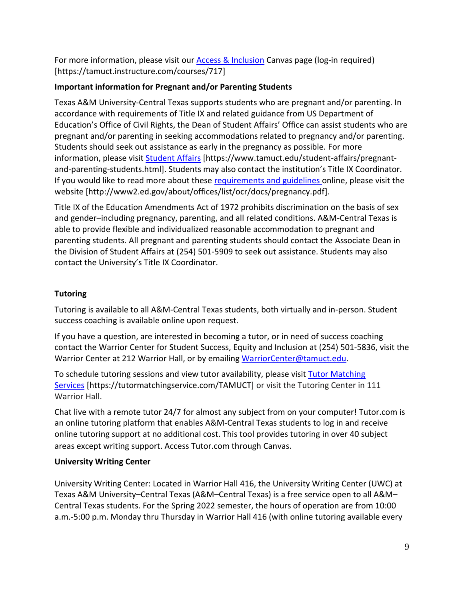For more information, please visit our [Access & Inclusion](https://tamuct.instructure.com/courses/717) Canvas page (log-in required) [https://tamuct.instructure.com/courses/717]

# **Important information for Pregnant and/or Parenting Students**

Texas A&M University-Central Texas supports students who are pregnant and/or parenting. In accordance with requirements of Title IX and related guidance from US Department of Education's Office of Civil Rights, the Dean of Student Affairs' Office can assist students who are pregnant and/or parenting in seeking accommodations related to pregnancy and/or parenting. Students should seek out assistance as early in the pregnancy as possible. For more information, please visit [Student Affairs](https://www.tamuct.edu/student-affairs/pregnant-and-parenting-students.html) [https://www.tamuct.edu/student-affairs/pregnantand-parenting-students.html]. Students may also contact the institution's Title IX Coordinator. If you would like to read more about these [requirements and guidelines](http://www2.ed.gov/about/offices/list/ocr/docs/pregnancy.pdf) online, please visit the website [http://www2.ed.gov/about/offices/list/ocr/docs/pregnancy.pdf].

Title IX of the Education Amendments Act of 1972 prohibits discrimination on the basis of sex and gender–including pregnancy, parenting, and all related conditions. A&M-Central Texas is able to provide flexible and individualized reasonable accommodation to pregnant and parenting students. All pregnant and parenting students should contact the Associate Dean in the Division of Student Affairs at (254) 501-5909 to seek out assistance. Students may also contact the University's Title IX Coordinator.

# **Tutoring**

Tutoring is available to all A&M-Central Texas students, both virtually and in-person. Student success coaching is available online upon request.

If you have a question, are interested in becoming a tutor, or in need of success coaching contact the Warrior Center for Student Success, Equity and Inclusion at (254) 501-5836, visit the Warrior Center at 212 Warrior Hall, or by emailing [WarriorCenter@tamuct.edu.](mailto:WarriorCenter@tamuct.edu)

To schedule tutoring sessions and view tutor availability, please visit Tutor [Matching](https://tutormatchingservice.com/TAMUCT) [Services](https://tutormatchingservice.com/TAMUCT) [https://tutormatchingservice.com/TAMUCT] or visit the Tutoring Center in 111 Warrior Hall.

Chat live with a remote tutor 24/7 for almost any subject from on your computer! Tutor.com is an online tutoring platform that enables A&M-Central Texas students to log in and receive online tutoring support at no additional cost. This tool provides tutoring in over 40 subject areas except writing support. Access Tutor.com through Canvas.

# **University Writing Center**

University Writing Center: Located in Warrior Hall 416, the University Writing Center (UWC) at Texas A&M University–Central Texas (A&M–Central Texas) is a free service open to all A&M– Central Texas students. For the Spring 2022 semester, the hours of operation are from 10:00 a.m.-5:00 p.m. Monday thru Thursday in Warrior Hall 416 (with online tutoring available every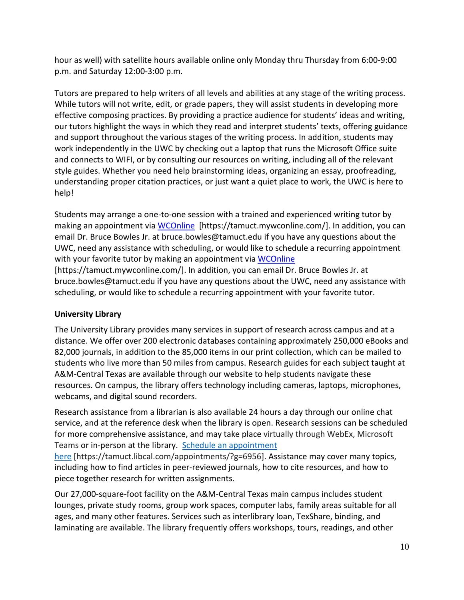hour as well) with satellite hours available online only Monday thru Thursday from 6:00-9:00 p.m. and Saturday 12:00-3:00 p.m.

Tutors are prepared to help writers of all levels and abilities at any stage of the writing process. While tutors will not write, edit, or grade papers, they will assist students in developing more effective composing practices. By providing a practice audience for students' ideas and writing, our tutors highlight the ways in which they read and interpret students' texts, offering guidance and support throughout the various stages of the writing process. In addition, students may work independently in the UWC by checking out a laptop that runs the Microsoft Office suite and connects to WIFI, or by consulting our resources on writing, including all of the relevant style guides. Whether you need help brainstorming ideas, organizing an essay, proofreading, understanding proper citation practices, or just want a quiet place to work, the UWC is here to help!

Students may arrange a one-to-one session with a trained and experienced writing tutor by making an appointment via [WCOnline](https://tamuct.mywconline.com/) [https://tamuct.mywconline.com/]. In addition, you can email Dr. Bruce Bowles Jr. at bruce.bowles@tamuct.edu if you have any questions about the UWC, need any assistance with scheduling, or would like to schedule a recurring appointment with your favorite tutor by making an appointment via [WCOnline](https://tamuct.mywconline.com/)

[https://tamuct.mywconline.com/]. In addition, you can email Dr. Bruce Bowles Jr. at bruce.bowles@tamuct.edu if you have any questions about the UWC, need any assistance with scheduling, or would like to schedule a recurring appointment with your favorite tutor.

# **University Library**

The University Library provides many services in support of research across campus and at a distance. We offer over 200 electronic databases containing approximately 250,000 eBooks and 82,000 journals, in addition to the 85,000 items in our print collection, which can be mailed to students who live more than 50 miles from campus. Research guides for each subject taught at A&M-Central Texas are available through our website to help students navigate these resources. On campus, the library offers technology including cameras, laptops, microphones, webcams, and digital sound recorders.

Research assistance from a librarian is also available 24 hours a day through our online chat service, and at the reference desk when the library is open. Research sessions can be scheduled for more comprehensive assistance, and may take place virtually through WebEx, Microsoft Teams or in-person at the library. Schedule an [appointment](https://nam04.safelinks.protection.outlook.com/?url=https%3A%2F%2Ftamuct.libcal.com%2Fappointments%2F%3Fg%3D6956&data=04%7C01%7Clisa.bunkowski%40tamuct.edu%7Cde2c07d9f5804f09518008d9ab7ba6ff%7C9eed4e3000f744849ff193ad8005acec%7C0%7C0%7C637729369835011558%7CUnknown%7CTWFpbGZsb3d8eyJWIjoiMC4wLjAwMDAiLCJQIjoiV2luMzIiLCJBTiI6Ik1haWwiLCJXVCI6Mn0%3D%7C3000&sdata=KhtjgRSAw9aq%2FoBsB6wyu8b7PSuGN5EGPypzr3Ty2No%3D&reserved=0)

[here](https://nam04.safelinks.protection.outlook.com/?url=https%3A%2F%2Ftamuct.libcal.com%2Fappointments%2F%3Fg%3D6956&data=04%7C01%7Clisa.bunkowski%40tamuct.edu%7Cde2c07d9f5804f09518008d9ab7ba6ff%7C9eed4e3000f744849ff193ad8005acec%7C0%7C0%7C637729369835011558%7CUnknown%7CTWFpbGZsb3d8eyJWIjoiMC4wLjAwMDAiLCJQIjoiV2luMzIiLCJBTiI6Ik1haWwiLCJXVCI6Mn0%3D%7C3000&sdata=KhtjgRSAw9aq%2FoBsB6wyu8b7PSuGN5EGPypzr3Ty2No%3D&reserved=0) [https://tamuct.libcal.com/appointments/?g=6956]. Assistance may cover many topics, including how to find articles in peer-reviewed journals, how to cite resources, and how to piece together research for written assignments.

Our 27,000-square-foot facility on the A&M-Central Texas main campus includes student lounges, private study rooms, group work spaces, computer labs, family areas suitable for all ages, and many other features. Services such as interlibrary loan, TexShare, binding, and laminating are available. The library frequently offers workshops, tours, readings, and other